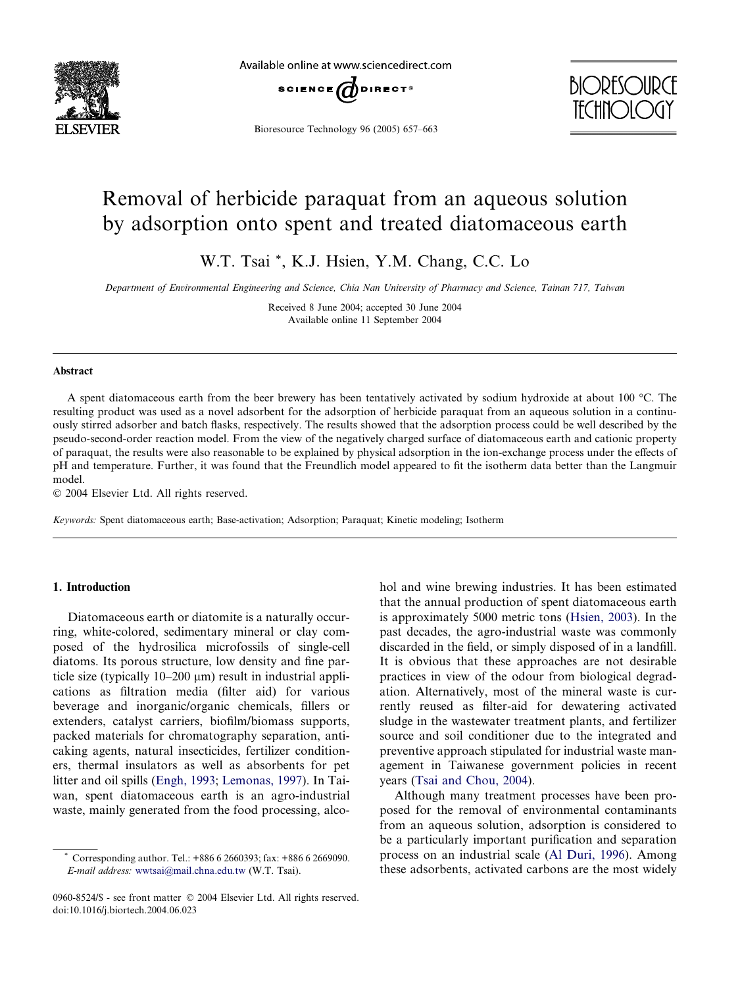

Available online at www.sciencedirect.com



Bioresource Technology 96 (2005) 657–663



# Removal of herbicide paraquat from an aqueous solution by adsorption onto spent and treated diatomaceous earth

W.T. Tsai \*, K.J. Hsien, Y.M. Chang, C.C. Lo

Department of Environmental Engineering and Science, Chia Nan University of Pharmacy and Science, Tainan 717, Taiwan

Received 8 June 2004; accepted 30 June 2004 Available online 11 September 2004

#### Abstract

A spent diatomaceous earth from the beer brewery has been tentatively activated by sodium hydroxide at about 100  $^{\circ}$ C. The resulting product was used as a novel adsorbent for the adsorption of herbicide paraquat from an aqueous solution in a continuously stirred adsorber and batch flasks, respectively. The results showed that the adsorption process could be well described by the pseudo-second-order reaction model. From the view of the negatively charged surface of diatomaceous earth and cationic property of paraquat, the results were also reasonable to be explained by physical adsorption in the ion-exchange process under the effects of pH and temperature. Further, it was found that the Freundlich model appeared to fit the isotherm data better than the Langmuir model.

 $© 2004$  Elsevier Ltd. All rights reserved.

Keywords: Spent diatomaceous earth; Base-activation; Adsorption; Paraquat; Kinetic modeling; Isotherm

# 1. Introduction

Diatomaceous earth or diatomite is a naturally occurring, white-colored, sedimentary mineral or clay composed of the hydrosilica microfossils of single-cell diatoms. Its porous structure, low density and fine particle size (typically  $10-200 \mu m$ ) result in industrial applications as filtration media (filter aid) for various beverage and inorganic/organic chemicals, fillers or extenders, catalyst carriers, biofilm/biomass supports, packed materials for chromatography separation, anticaking agents, natural insecticides, fertilizer conditioners, thermal insulators as well as absorbents for pet litter and oil spills [\(Engh, 1993](#page-5-0); [Lemonas, 1997](#page-5-0)). In Taiwan, spent diatomaceous earth is an agro-industrial waste, mainly generated from the food processing, alcohol and wine brewing industries. It has been estimated that the annual production of spent diatomaceous earth is approximately 5000 metric tons ([Hsien, 2003](#page-5-0)). In the past decades, the agro-industrial waste was commonly discarded in the field, or simply disposed of in a landfill. It is obvious that these approaches are not desirable practices in view of the odour from biological degradation. Alternatively, most of the mineral waste is currently reused as filter-aid for dewatering activated sludge in the wastewater treatment plants, and fertilizer source and soil conditioner due to the integrated and preventive approach stipulated for industrial waste management in Taiwanese government policies in recent years [\(Tsai and Chou, 2004\)](#page-6-0).

Although many treatment processes have been proposed for the removal of environmental contaminants from an aqueous solution, adsorption is considered to be a particularly important purification and separation process on an industrial scale ([Al Duri, 1996\)](#page-5-0). Among these adsorbents, activated carbons are the most widely

Corresponding author. Tel.: +886 6 2660393; fax: +886 6 2669090. E-mail address: [wwtsai@mail.chna.edu.tw](mailto:wwtsai@mail.chna.edu.tw ) (W.T. Tsai).

<sup>0960-8524/\$ -</sup> see front matter © 2004 Elsevier Ltd. All rights reserved. doi:10.1016/j.biortech.2004.06.023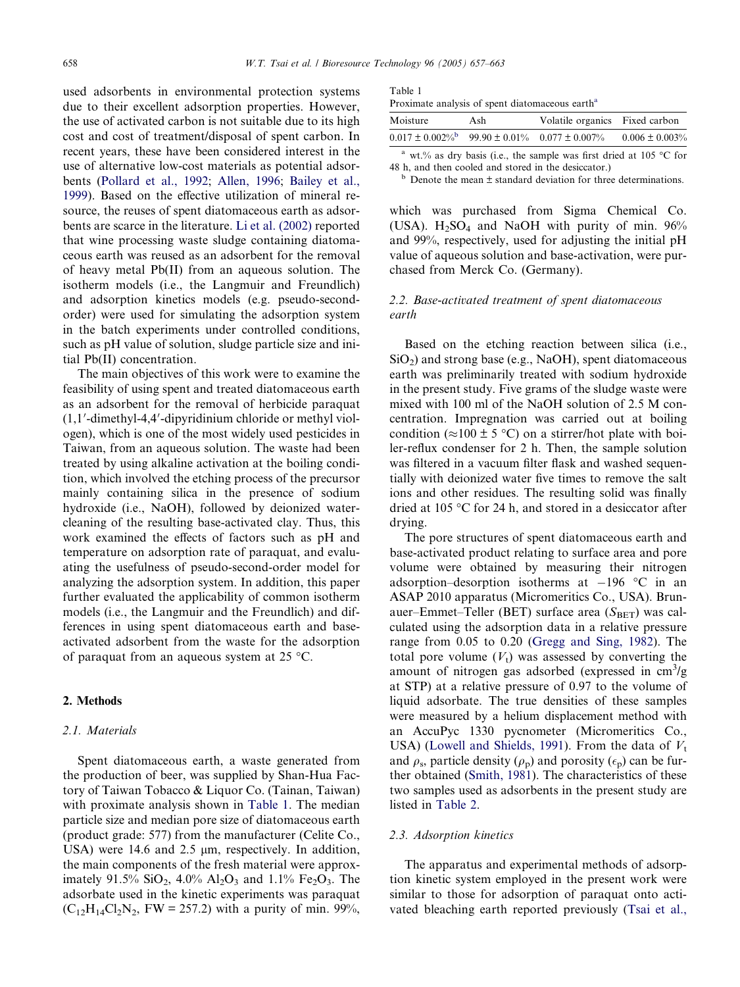used adsorbents in environmental protection systems due to their excellent adsorption properties. However, the use of activated carbon is not suitable due to its high cost and cost of treatment/disposal of spent carbon. In recent years, these have been considered interest in the use of alternative low-cost materials as potential adsorbents [\(Pollard et al., 1992;](#page-6-0) [Allen, 1996;](#page-5-0) [Bailey et al.,](#page-5-0) [1999\)](#page-5-0). Based on the effective utilization of mineral resource, the reuses of spent diatomaceous earth as adsorbents are scarce in the literature. [Li et al. \(2002\)](#page-5-0) reported that wine processing waste sludge containing diatomaceous earth was reused as an adsorbent for the removal of heavy metal Pb(II) from an aqueous solution. The isotherm models (i.e., the Langmuir and Freundlich) and adsorption kinetics models (e.g. pseudo-secondorder) were used for simulating the adsorption system in the batch experiments under controlled conditions, such as pH value of solution, sludge particle size and initial Pb(II) concentration.

The main objectives of this work were to examine the feasibility of using spent and treated diatomaceous earth as an adsorbent for the removal of herbicide paraquat (1,1'-dimethyl-4,4'-dipyridinium chloride or methyl viologen), which is one of the most widely used pesticides in Taiwan, from an aqueous solution. The waste had been treated by using alkaline activation at the boiling condition, which involved the etching process of the precursor mainly containing silica in the presence of sodium hydroxide (i.e., NaOH), followed by deionized watercleaning of the resulting base-activated clay. Thus, this work examined the effects of factors such as pH and temperature on adsorption rate of paraquat, and evaluating the usefulness of pseudo-second-order model for analyzing the adsorption system. In addition, this paper further evaluated the applicability of common isotherm models (i.e., the Langmuir and the Freundlich) and differences in using spent diatomaceous earth and baseactivated adsorbent from the waste for the adsorption of paraquat from an aqueous system at  $25 \text{ °C}$ .

# 2. Methods

# 2.1. Materials

Spent diatomaceous earth, a waste generated from the production of beer, was supplied by Shan-Hua Factory of Taiwan Tobacco & Liquor Co. (Tainan, Taiwan) with proximate analysis shown in Table 1. The median particle size and median pore size of diatomaceous earth (product grade: 577) from the manufacturer (Celite Co., USA) were 14.6 and 2.5  $\mu$ m, respectively. In addition, the main components of the fresh material were approximately 91.5% SiO<sub>2</sub>, 4.0% Al<sub>2</sub>O<sub>3</sub> and 1.1% Fe<sub>2</sub>O<sub>3</sub>. The adsorbate used in the kinetic experiments was paraquat  $(C_{12}H_{14}Cl_2N_2, FW = 257.2)$  with a purity of min. 99%,

| ۰, |  |  |  |
|----|--|--|--|
|----|--|--|--|

Proximate analysis of spent diatomaceous earth<sup>a</sup>

| Moisture                                                                | Ash | Volatile organics Fixed carbon |                     |
|-------------------------------------------------------------------------|-----|--------------------------------|---------------------|
| $0.017 \pm 0.002\%$ <sup>b</sup> 99.90 $\pm 0.01\%$ 0.077 $\pm 0.007\%$ |     |                                | $0.006 \pm 0.003\%$ |
|                                                                         |     |                                |                     |

wt.% as dry basis (i.e., the sample was first dried at  $105 \text{ °C}$  for 48 h, and then cooled and stored in the desiccator.)

 $b$  Denote the mean  $\pm$  standard deviation for three determinations.

which was purchased from Sigma Chemical Co. (USA).  $H_2SO_4$  and NaOH with purity of min. 96% and 99%, respectively, used for adjusting the initial pH value of aqueous solution and base-activation, were purchased from Merck Co. (Germany).

# 2.2. Base-activated treatment of spent diatomaceous earth

Based on the etching reaction between silica (i.e.,  $SiO<sub>2</sub>$ ) and strong base (e.g., NaOH), spent diatomaceous earth was preliminarily treated with sodium hydroxide in the present study. Five grams of the sludge waste were mixed with 100 ml of the NaOH solution of 2.5 M concentration. Impregnation was carried out at boiling condition ( $\approx$ 100 ± 5 °C) on a stirrer/hot plate with boiler-reflux condenser for 2 h. Then, the sample solution was filtered in a vacuum filter flask and washed sequentially with deionized water five times to remove the salt ions and other residues. The resulting solid was finally dried at 105  $\degree$ C for 24 h, and stored in a desiccator after drying.

The pore structures of spent diatomaceous earth and base-activated product relating to surface area and pore volume were obtained by measuring their nitrogen adsorption–desorption isotherms at  $-196$  °C in an ASAP 2010 apparatus (Micromeritics Co., USA). Brunauer–Emmet–Teller (BET) surface area  $(S<sub>BET</sub>)$  was calculated using the adsorption data in a relative pressure range from 0.05 to 0.20 [\(Gregg and Sing, 1982\)](#page-5-0). The total pore volume  $(V_t)$  was assessed by converting the amount of nitrogen gas adsorbed (expressed in  $\text{cm}^3/\text{g}$ at STP) at a relative pressure of 0.97 to the volume of liquid adsorbate. The true densities of these samples were measured by a helium displacement method with an AccuPyc 1330 pycnometer (Micromeritics Co., USA) [\(Lowell and Shields, 1991\)](#page-6-0). From the data of  $V_t$ and  $\rho_s$ , particle density ( $\rho_p$ ) and porosity ( $\epsilon_p$ ) can be further obtained [\(Smith, 1981](#page-6-0)). The characteristics of these two samples used as adsorbents in the present study are listed in [Table 2.](#page-2-0)

#### 2.3. Adsorption kinetics

The apparatus and experimental methods of adsorption kinetic system employed in the present work were similar to those for adsorption of paraquat onto activated bleaching earth reported previously ([Tsai et al.,](#page-6-0)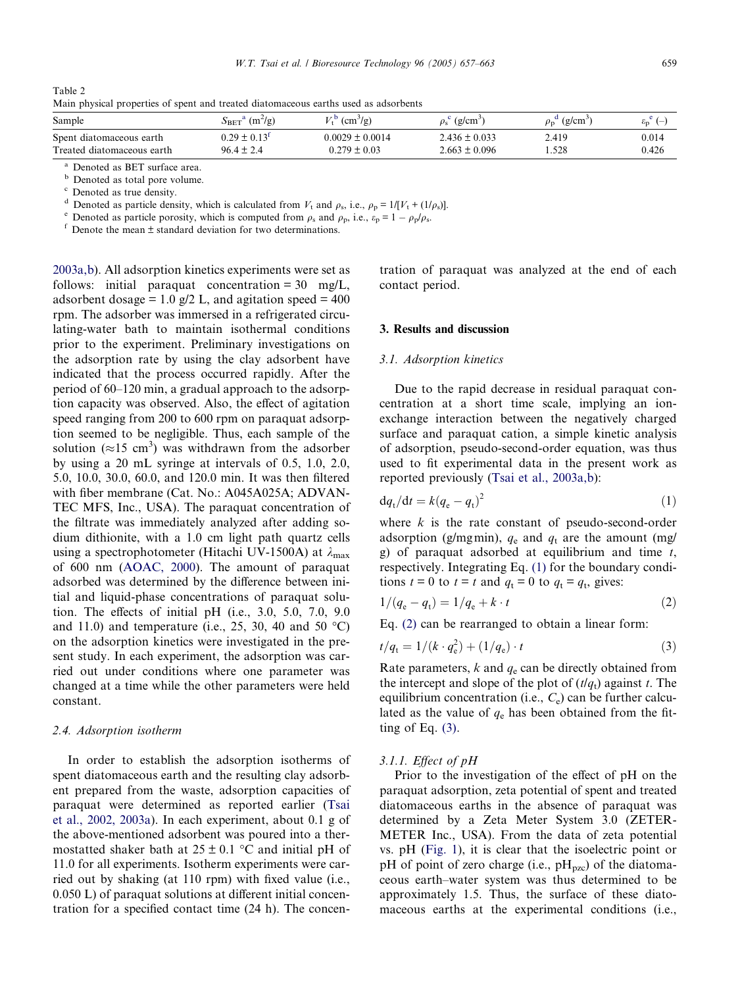<span id="page-2-0"></span>

| Table 2 |  |  |                                                                                      |  |  |
|---------|--|--|--------------------------------------------------------------------------------------|--|--|
|         |  |  | Main physical properties of spent and treated diatomaceous earths used as adsorbents |  |  |

| Sample                                                 | $(m^2/g)$<br>$S_{\mathrm{BET}}$ "            | $\text{cm}^3/\text{g}$<br>rz D          | $(g/cm^{-1})$                          | (g/cm <sup>3</sup> )<br>$\rho_{\rm n}$ | $\epsilon_{\rm p}$ <sup>c</sup> (-) |
|--------------------------------------------------------|----------------------------------------------|-----------------------------------------|----------------------------------------|----------------------------------------|-------------------------------------|
| Spent diatomaceous earth<br>Treated diatomaceous earth | $0.29 \pm 0.13^{\text{t}}$<br>$96.4 \pm 2.4$ | $0.0029 \pm 0.0014$<br>$0.279 \pm 0.03$ | $2.436 \pm 0.033$<br>$2.663 \pm 0.096$ | 2.419<br>.528                          | 0.014<br>0.426                      |
|                                                        |                                              |                                         |                                        |                                        |                                     |

<sup>a</sup> Denoted as BET surface area.

 $\frac{b}{c}$  Denoted as total pore volume.<br><sup>c</sup> Denoted as true density.

Denoted as particle density, which is calculated from  $V_t$  and  $\rho_s$ , i.e.,  $\rho_p = 1/[V_t + (1/\rho_s)]$ .<br>Denoted as particle porosity, which is computed from  $\rho_s$  and  $\rho_p$ , i.e.,  $\varepsilon_p = 1 - \rho_p/\rho_s$ .<br>Denote the mean  $\pm$  standard d

[2003a,b\)](#page-6-0). All adsorption kinetics experiments were set as follows: initial paraquat concentration  $= 30$  mg/L, adsorbent dosage = 1.0  $g/2$  L, and agitation speed = 400 rpm. The adsorber was immersed in a refrigerated circulating-water bath to maintain isothermal conditions prior to the experiment. Preliminary investigations on the adsorption rate by using the clay adsorbent have indicated that the process occurred rapidly. After the period of 60–120 min, a gradual approach to the adsorption capacity was observed. Also, the effect of agitation speed ranging from 200 to 600 rpm on paraquat adsorption seemed to be negligible. Thus, each sample of the solution ( $\approx$ 15 cm<sup>3</sup>) was withdrawn from the adsorber by using a 20 mL syringe at intervals of 0.5, 1.0, 2.0, 5.0, 10.0, 30.0, 60.0, and 120.0 min. It was then filtered with fiber membrane (Cat. No.: A045A025A; ADVAN-TECMFS, Inc., USA). The paraquat concentration of the filtrate was immediately analyzed after adding sodium dithionite, with a 1.0 cm light path quartz cells using a spectrophotometer (Hitachi UV-1500A) at  $\lambda_{\text{max}}$ of 600 nm [\(AOAC, 2000](#page-5-0)). The amount of paraquat adsorbed was determined by the difference between initial and liquid-phase concentrations of paraquat solution. The effects of initial pH (i.e., 3.0, 5.0, 7.0, 9.0 and 11.0) and temperature (i.e., 25, 30, 40 and 50  $^{\circ}$ C) on the adsorption kinetics were investigated in the present study. In each experiment, the adsorption was carried out under conditions where one parameter was changed at a time while the other parameters were held constant.

# 2.4. Adsorption isotherm

In order to establish the adsorption isotherms of spent diatomaceous earth and the resulting clay adsorbent prepared from the waste, adsorption capacities of paraquat were determined as reported earlier [\(Tsai](#page-6-0) [et al., 2002, 2003a](#page-6-0)). In each experiment, about 0.1 g of the above-mentioned adsorbent was poured into a thermostatted shaker bath at  $25 \pm 0.1$  °C and initial pH of 11.0 for all experiments. Isotherm experiments were carried out by shaking (at 110 rpm) with fixed value (i.e., 0.050 L) of paraquat solutions at different initial concentration for a specified contact time (24 h). The concentration of paraquat was analyzed at the end of each contact period.

## 3. Results and discussion

## 3.1. Adsorption kinetics

Due to the rapid decrease in residual paraquat concentration at a short time scale, implying an ionexchange interaction between the negatively charged surface and paraquat cation, a simple kinetic analysis of adsorption, pseudo-second-order equation, was thus used to fit experimental data in the present work as reported previously ([Tsai et al., 2003a,b\)](#page-6-0):

$$
\mathrm{d}q_t/\mathrm{d}t = k(q_\mathrm{e} - q_\mathrm{t})^2 \tag{1}
$$

where  $k$  is the rate constant of pseudo-second-order adsorption (g/mgmin),  $q_e$  and  $q_t$  are the amount (mg/ g) of paraquat adsorbed at equilibrium and time  $t$ , respectively. Integrating Eq. (1) for the boundary conditions  $t = 0$  to  $t = t$  and  $q_t = 0$  to  $q_t = q_t$ , gives:

$$
1/(q_{e} - q_{t}) = 1/q_{e} + k \cdot t
$$
 (2)

Eq. (2) can be rearranged to obtain a linear form:

$$
t/q_{\rm t} = 1/(k \cdot q_{\rm e}^2) + (1/q_{\rm e}) \cdot t \tag{3}
$$

Rate parameters,  $k$  and  $q_e$  can be directly obtained from the intercept and slope of the plot of  $(t/q_t)$  against t. The equilibrium concentration (i.e.,  $C_e$ ) can be further calculated as the value of  $q_e$  has been obtained from the fitting of Eq.  $(3)$ .

#### 3.1.1. Effect of pH

Prior to the investigation of the effect of pH on the paraquat adsorption, zeta potential of spent and treated diatomaceous earths in the absence of paraquat was determined by a Zeta Meter System 3.0 (ZETER-METER Inc., USA). From the data of zeta potential vs. pH [\(Fig. 1\)](#page-3-0), it is clear that the isoelectric point or pH of point of zero charge (i.e.,  $pH_{pzc}$ ) of the diatomaceous earth–water system was thus determined to be approximately 1.5. Thus, the surface of these diatomaceous earths at the experimental conditions (i.e.,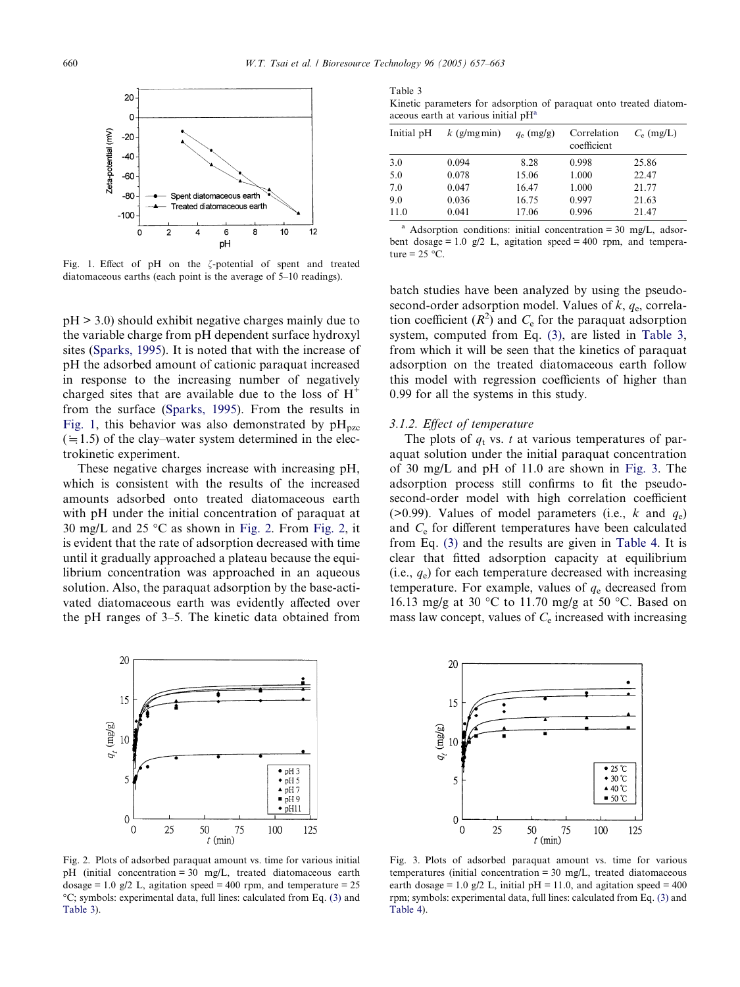<span id="page-3-0"></span>

Fig. 1. Effect of pH on the  $\zeta$ -potential of spent and treated diatomaceous earths (each point is the average of 5–10 readings).

pH > 3.0) should exhibit negative charges mainly due to the variable charge from pH dependent surface hydroxyl sites [\(Sparks, 1995\)](#page-6-0). It is noted that with the increase of pH the adsorbed amount of cationic paraquat increased in response to the increasing number of negatively charged sites that are available due to the loss of  $H^+$ from the surface [\(Sparks, 1995](#page-6-0)). From the results in Fig. 1, this behavior was also demonstrated by  $pH<sub>pzc</sub>$  $(=1.5)$  of the clay–water system determined in the electrokinetic experiment.

These negative charges increase with increasing pH, which is consistent with the results of the increased amounts adsorbed onto treated diatomaceous earth with pH under the initial concentration of paraquat at 30 mg/L and 25  $\degree$ C as shown in Fig. 2. From Fig. 2, it is evident that the rate of adsorption decreased with time until it gradually approached a plateau because the equilibrium concentration was approached in an aqueous solution. Also, the paraquat adsorption by the base-activated diatomaceous earth was evidently affected over the pH ranges of 3–5. The kinetic data obtained from



Fig. 2. Plots of adsorbed paraquat amount vs. time for various initial pH (initial concentration = 30 mg/L, treated diatomaceous earth dosage = 1.0 g/2 L, agitation speed = 400 rpm, and temperature =  $25$ C; symbols: experimental data, full lines: calculated from Eq. [\(3\)](#page-2-0) and Table 3).

Kinetic parameters for adsorption of paraquat onto treated diatomaceous earth at various initial pH<sup>a</sup>

| Initial pH | $k$ (g/mg min) | $q_e$ (mg/g) | Correlation<br>coefficient | $C_e$ (mg/L) |
|------------|----------------|--------------|----------------------------|--------------|
| 3.0        | 0.094          | 8.28         | 0.998                      | 25.86        |
| 5.0        | 0.078          | 15.06        | 1.000                      | 22.47        |
| 7.0        | 0.047          | 16.47        | 1.000                      | 21.77        |
| 9.0        | 0.036          | 16.75        | 0.997                      | 21.63        |
| 11.0       | 0.041          | 17.06        | 0.996                      | 21.47        |

<sup>a</sup> Adsorption conditions: initial concentration = 30 mg/L, adsorbent dosage = 1.0  $g/2$  L, agitation speed = 400 rpm, and temperature =  $25 \text{ °C}$ .

batch studies have been analyzed by using the pseudosecond-order adsorption model. Values of  $k$ ,  $q_e$ , correlation coefficient  $(R^2)$  and  $C_e$  for the paraquat adsorption system, computed from Eq. [\(3\)](#page-2-0), are listed in Table 3, from which it will be seen that the kinetics of paraquat adsorption on the treated diatomaceous earth follow this model with regression coefficients of higher than 0.99 for all the systems in this study.

#### 3.1.2. Effect of temperature

The plots of  $q_t$  vs. t at various temperatures of paraquat solution under the initial paraquat concentration of 30 mg/L and pH of 11.0 are shown in Fig. 3. The adsorption process still confirms to fit the pseudosecond-order model with high correlation coefficient ( $>0.99$ ). Values of model parameters (i.e., k and  $q_e$ ) and  $C_e$  for different temperatures have been calculated from Eq. [\(3\)](#page-2-0) and the results are given in [Table 4.](#page-4-0) It is clear that fitted adsorption capacity at equilibrium (i.e.,  $q_e$ ) for each temperature decreased with increasing temperature. For example, values of  $q_e$  decreased from 16.13 mg/g at 30 °C to 11.70 mg/g at 50 °C. Based on mass law concept, values of  $C<sub>e</sub>$  increased with increasing



Fig. 3. Plots of adsorbed paraquat amount vs. time for various temperatures (initial concentration = 30 mg/L, treated diatomaceous earth dosage = 1.0 g/2 L, initial  $pH = 11.0$ , and agitation speed = 400 rpm; symbols: experimental data, full lines: calculated from Eq. [\(3\)](#page-2-0) and [Table 4\)](#page-4-0).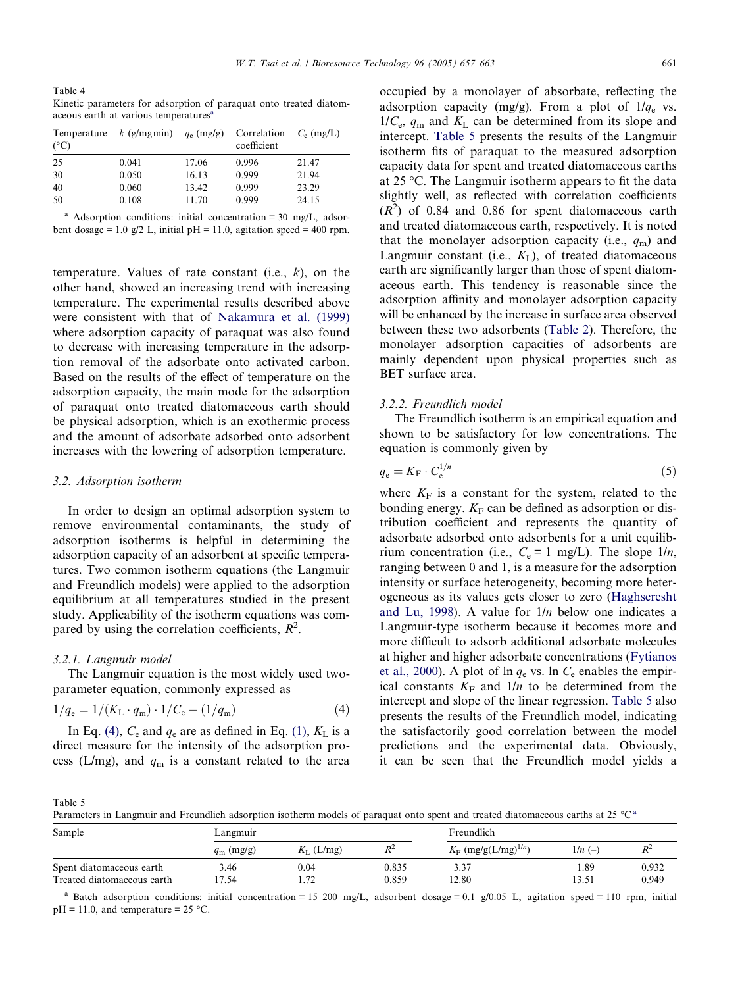<span id="page-4-0"></span>Table 4 Kinetic parameters for adsorption of paraquat onto treated diatomaceous earth at various temperatures<sup>8</sup>

| Temperature<br>$(^{\circ}C)$ | k (g/mgmin) $q_e$ (mg/g) |       | Correlation<br>coefficient | $C_e$ (mg/L) |
|------------------------------|--------------------------|-------|----------------------------|--------------|
| 25                           | 0.041                    | 17.06 | 0.996                      | 21.47        |
| 30                           | 0.050                    | 16.13 | 0.999                      | 21.94        |
| 40                           | 0.060                    | 13.42 | 0.999                      | 23.29        |
| 50                           | 0.108                    | 11.70 | 0.999                      | 24.15        |

Adsorption conditions: initial concentration =  $30 \text{ mg/L}$ , adsorbent dosage = 1.0 g/2 L, initial pH = 11.0, agitation speed = 400 rpm.

temperature. Values of rate constant (i.e.,  $k$ ), on the other hand, showed an increasing trend with increasing temperature. The experimental results described above were consistent with that of [Nakamura et al. \(1999\)](#page-6-0) where adsorption capacity of paraquat was also found to decrease with increasing temperature in the adsorption removal of the adsorbate onto activated carbon. Based on the results of the effect of temperature on the adsorption capacity, the main mode for the adsorption of paraquat onto treated diatomaceous earth should be physical adsorption, which is an exothermic process and the amount of adsorbate adsorbed onto adsorbent increases with the lowering of adsorption temperature.

## 3.2. Adsorption isotherm

In order to design an optimal adsorption system to remove environmental contaminants, the study of adsorption isotherms is helpful in determining the adsorption capacity of an adsorbent at specific temperatures. Two common isotherm equations (the Langmuir and Freundlich models) were applied to the adsorption equilibrium at all temperatures studied in the present study. Applicability of the isotherm equations was compared by using the correlation coefficients,  $R^2$ .

#### 3.2.1. Langmuir model

The Langmuir equation is the most widely used twoparameter equation, commonly expressed as

$$
1/q_e = 1/(K_L \cdot q_m) \cdot 1/C_e + (1/q_m)
$$
 (4)

In Eq. (4),  $C_e$  and  $q_e$  are as defined in Eq. [\(1\),](#page-2-0)  $K_L$  is a direct measure for the intensity of the adsorption process (L/mg), and  $q<sub>m</sub>$  is a constant related to the area occupied by a monolayer of absorbate, reflecting the adsorption capacity (mg/g). From a plot of  $1/q_e$  vs.  $1/C_e$ ,  $q_m$  and  $K_L$  can be determined from its slope and intercept. Table 5 presents the results of the Langmuir isotherm fits of paraquat to the measured adsorption capacity data for spent and treated diatomaceous earths at 25  $\degree$ C. The Langmuir isotherm appears to fit the data slightly well, as reflected with correlation coefficients  $(R<sup>2</sup>)$  of 0.84 and 0.86 for spent diatomaceous earth and treated diatomaceous earth, respectively. It is noted that the monolayer adsorption capacity (i.e.,  $q_m$ ) and Langmuir constant (i.e.,  $K_{\text{L}}$ ), of treated diatomaceous earth are significantly larger than those of spent diatomaceous earth. This tendency is reasonable since the adsorption affinity and monolayer adsorption capacity will be enhanced by the increase in surface area observed between these two adsorbents [\(Table 2\)](#page-2-0). Therefore, the monolayer adsorption capacities of adsorbents are mainly dependent upon physical properties such as BET surface area.

## 3.2.2. Freundlich model

The Freundlich isotherm is an empirical equation and shown to be satisfactory for low concentrations. The equation is commonly given by

$$
q_{\rm e} = K_{\rm F} \cdot C_{\rm e}^{1/n} \tag{5}
$$

where  $K_F$  is a constant for the system, related to the bonding energy.  $K_F$  can be defined as adsorption or distribution coefficient and represents the quantity of adsorbate adsorbed onto adsorbents for a unit equilibrium concentration (i.e.,  $C_e = 1$  mg/L). The slope  $1/n$ , ranging between 0 and 1, is a measure for the adsorption intensity or surface heterogeneity, becoming more heterogeneous as its values gets closer to zero ([Haghseresht](#page-5-0) [and Lu, 1998](#page-5-0)). A value for  $1/n$  below one indicates a Langmuir-type isotherm because it becomes more and more difficult to adsorb additional adsorbate molecules at higher and higher adsorbate concentrations [\(Fytianos](#page-5-0) [et al., 2000\)](#page-5-0). A plot of ln  $q_e$  vs. ln  $C_e$  enables the empirical constants  $K_F$  and  $1/n$  to be determined from the intercept and slope of the linear regression. Table 5 also presents the results of the Freundlich model, indicating the satisfactorily good correlation between the model predictions and the experimental data. Obviously, it can be seen that the Freundlich model yields a

Table 5

Parameters in Langmuir and Freundlich adsorption isotherm models of paraquat onto spent and treated diatomaceous earths at 25  $^{\circ}C^{\text{a}}$ 

| Sample                     | Langmuir           |                |       |                                    | Freundlich |       |  |
|----------------------------|--------------------|----------------|-------|------------------------------------|------------|-------|--|
|                            | $q_{\rm m}$ (mg/g) | $K_{I}$ (L/mg) | $R^2$ | $K_F$ (mg/g(L/mg) <sup>1/n</sup> ) | $1/n (-)$  | ₽     |  |
| Spent diatomaceous earth   | 3.46               | $0.04\,$       | 0.835 | 3.37                               | . . 89     | 0.932 |  |
| Treated diatomaceous earth | 7.54               | $\mathbf{z}$   | 0.859 | 12.80                              | 13.51      | 0.949 |  |

Batch adsorption conditions: initial concentration = 15–200 mg/L, adsorbent dosage = 0.1 g/0.05 L, agitation speed = 110 rpm, initial  $pH = 11.0$ , and temperature = 25 °C.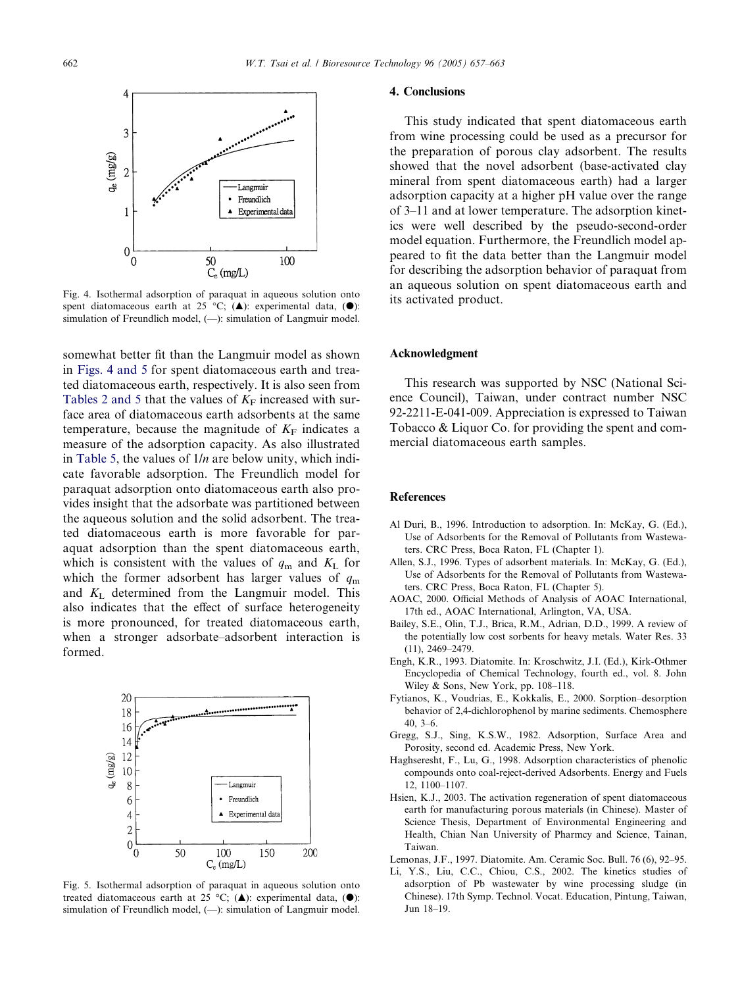<span id="page-5-0"></span>

Fig. 4. Isothermal adsorption of paraquat in aqueous solution onto spent diatomaceous earth at 25 °C; (A): experimental data, ( $\bullet$ ): simulation of Freundlich model,  $(-)$ : simulation of Langmuir model.

somewhat better fit than the Langmuir model as shown in Figs. 4 and 5 for spent diatomaceous earth and treated diatomaceous earth, respectively. It is also seen from [Tables 2 and 5](#page-2-0) that the values of  $K_F$  increased with surface area of diatomaceous earth adsorbents at the same temperature, because the magnitude of  $K_F$  indicates a measure of the adsorption capacity. As also illustrated in [Table 5](#page-4-0), the values of  $1/n$  are below unity, which indicate favorable adsorption. The Freundlich model for paraquat adsorption onto diatomaceous earth also provides insight that the adsorbate was partitioned between the aqueous solution and the solid adsorbent. The treated diatomaceous earth is more favorable for paraquat adsorption than the spent diatomaceous earth, which is consistent with the values of  $q_m$  and  $K_L$  for which the former adsorbent has larger values of  $q<sub>m</sub>$ and K<sup>L</sup> determined from the Langmuir model. This also indicates that the effect of surface heterogeneity is more pronounced, for treated diatomaceous earth, when a stronger adsorbate–adsorbent interaction is formed.



Fig. 5. Isothermal adsorption of paraquat in aqueous solution onto treated diatomaceous earth at 25 °C; ( $\triangle$ ): experimental data, ( $\bullet$ ): simulation of Freundlich model,  $(-)$ : simulation of Langmuir model.

## 4. Conclusions

This study indicated that spent diatomaceous earth from wine processing could be used as a precursor for the preparation of porous clay adsorbent. The results showed that the novel adsorbent (base-activated clay mineral from spent diatomaceous earth) had a larger adsorption capacity at a higher pH value over the range of 3–11 and at lower temperature. The adsorption kinetics were well described by the pseudo-second-order model equation. Furthermore, the Freundlich model appeared to fit the data better than the Langmuir model for describing the adsorption behavior of paraquat from an aqueous solution on spent diatomaceous earth and its activated product.

#### Acknowledgment

This research was supported by NSC(National Science Council), Taiwan, under contract number NSC 92-2211-E-041-009. Appreciation is expressed to Taiwan Tobacco & Liquor Co. for providing the spent and commercial diatomaceous earth samples.

## References

- Al Duri, B., 1996. Introduction to adsorption. In: McKay, G. (Ed.), Use of Adsorbents for the Removal of Pollutants from Wastewaters. CRC Press, Boca Raton, FL (Chapter 1).
- Allen, S.J., 1996. Types of adsorbent materials. In: McKay, G. (Ed.), Use of Adsorbents for the Removal of Pollutants from Wastewaters. CRC Press, Boca Raton, FL (Chapter 5).
- AOAC, 2000. Official Methods of Analysis of AOAC International, 17th ed., AOAC International, Arlington, VA, USA.
- Bailey, S.E., Olin, T.J., Brica, R.M., Adrian, D.D., 1999. A review of the potentially low cost sorbents for heavy metals. Water Res. 33 (11), 2469–2479.
- Engh, K.R., 1993. Diatomite. In: Kroschwitz, J.I. (Ed.), Kirk-Othmer Encyclopedia of Chemical Technology, fourth ed., vol. 8. John Wiley & Sons, New York, pp. 108–118.
- Fytianos, K., Voudrias, E., Kokkalis, E., 2000. Sorption–desorption behavior of 2,4-dichlorophenol by marine sediments. Chemosphere 40, 3–6.
- Gregg, S.J., Sing, K.S.W., 1982. Adsorption, Surface Area and Porosity, second ed. Academic Press, New York.
- Haghseresht, F., Lu, G., 1998. Adsorption characteristics of phenolic compounds onto coal-reject-derived Adsorbents. Energy and Fuels 12, 1100–1107.
- Hsien, K.J., 2003. The activation regeneration of spent diatomaceous earth for manufacturing porous materials (in Chinese). Master of Science Thesis, Department of Environmental Engineering and Health, Chian Nan University of Pharmcy and Science, Tainan, Taiwan.
- Lemonas, J.F., 1997. Diatomite. Am. Ceramic Soc. Bull. 76 (6), 92–95.
- Li, Y.S., Liu, C.C., Chiou, C.S., 2002. The kinetics studies of adsorption of Pb wastewater by wine processing sludge (in Chinese). 17th Symp. Technol. Vocat. Education, Pintung, Taiwan, Jun 18–19.